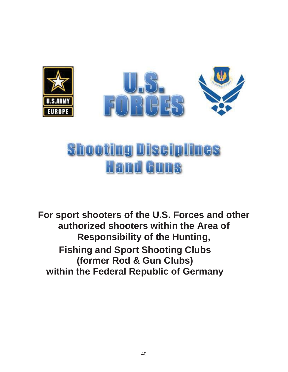

# **Shooting Disciplines Hand Guns**

**For sport shooters of the U.S. Forces and other authorized shooters within the Area of Responsibility of the Hunting, Fishing and Sport Shooting Clubs (former Rod & Gun Clubs) within the Federal Republic of Germany**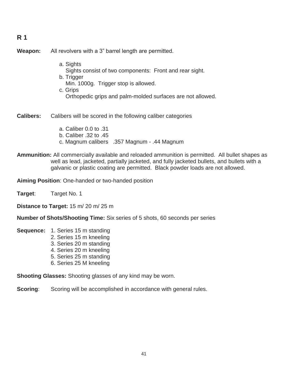## **R 1**

**Weapon:** All revolvers with a 3" barrel length are permitted.

 a. Sights Sights consist of two components: Front and rear sight. b. Trigger Min. 1000g. Trigger stop is allowed. c. Grips Orthopedic grips and palm-molded surfaces are not allowed.

**Calibers:** Calibers will be scored in the following caliber categories

- a. Caliber 0.0 to .31 b. Caliber .32 to .45 c. Magnum calibers .357 Magnum - .44 Magnum
- **Ammunition:** All commercially available and reloaded ammunition is permitted. All bullet shapes as well as lead, jacketed, partially jacketed, and fully jacketed bullets, and bullets with a galvanic or plastic coating are permitted. Black powder loads are not allowed.

**Aiming Position**: One-handed or two-handed position

**Target**: Target No. 1

**Distance to Target:** 15 m/ 20 m/ 25 m

**Number of Shots/Shooting Time:** Six series of 5 shots, 60 seconds per series

**Sequence:** 1. Series 15 m standing

- 2. Series 15 m kneeling
- 3. Series 20 m standing
- 4. Series 20 m kneeling
- 5. Series 25 m standing
- 6. Series 25 M kneeling

**Shooting Glasses:** Shooting glasses of any kind may be worn.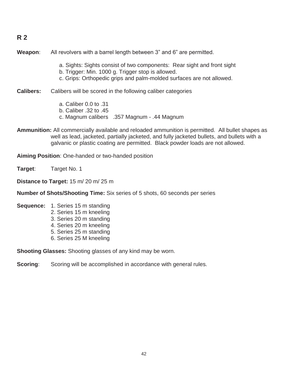## **R 2**

**Weapon**: All revolvers with a barrel length between 3" and 6" are permitted.

- a. Sights: Sights consist of two components: Rear sight and front sight
- b. Trigger: Min. 1000 g. Trigger stop is allowed.
- c. Grips: Orthopedic grips and palm-molded surfaces are not allowed.
- **Calibers:** Calibers will be scored in the following caliber categories
	- a. Caliber 0.0 to .31
	- b. Caliber .32 to .45
	- c. Magnum calibers .357 Magnum .44 Magnum
- **Ammunition:** All commercially available and reloaded ammunition is permitted. All bullet shapes as well as lead, jacketed, partially jacketed, and fully jacketed bullets, and bullets with a galvanic or plastic coating are permitted. Black powder loads are not allowed.

**Aiming Position**: One-handed or two-handed position

**Target**: Target No. 1

**Distance to Target:** 15 m/ 20 m/ 25 m

**Number of Shots/Shooting Time:** Six series of 5 shots, 60 seconds per series

- **Sequence:** 1. Series 15 m standing 2. Series 15 m kneeling 3. Series 20 m standing 4. Series 20 m kneeling
	- 5. Series 25 m standing
	- 6. Series 25 M kneeling

**Shooting Glasses:** Shooting glasses of any kind may be worn.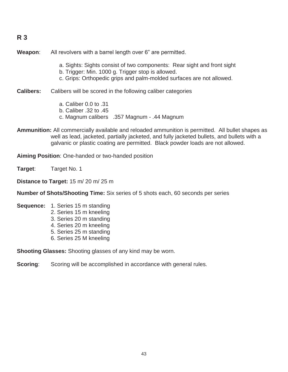## **R 3**

**Weapon**: All revolvers with a barrel length over 6" are permitted.

- a. Sights: Sights consist of two components: Rear sight and front sight
- b. Trigger: Min. 1000 g. Trigger stop is allowed.
- c. Grips: Orthopedic grips and palm-molded surfaces are not allowed.

**Calibers:** Calibers will be scored in the following caliber categories

- a. Caliber 0.0 to .31
- b. Caliber .32 to .45
- c. Magnum calibers .357 Magnum .44 Magnum
- **Ammunition:** All commercially available and reloaded ammunition is permitted. All bullet shapes as well as lead, jacketed, partially jacketed, and fully jacketed bullets, and bullets with a galvanic or plastic coating are permitted. Black powder loads are not allowed.

**Aiming Position**: One-handed or two-handed position

**Target**: Target No. 1

**Distance to Target:** 15 m/ 20 m/ 25 m

**Number of Shots/Shooting Time:** Six series of 5 shots each, 60 seconds per series

- **Sequence:** 1. Series 15 m standing 2. Series 15 m kneeling 3. Series 20 m standing 4. Series 20 m kneeling
	- 5. Series 25 m standing
	- 6. Series 25 M kneeling

**Shooting Glasses:** Shooting glasses of any kind may be worn.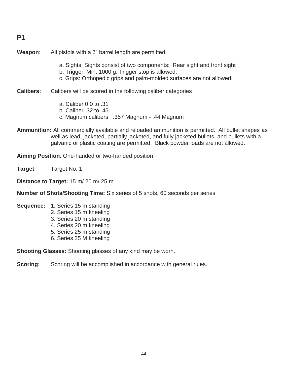#### **P1**

**Weapon**: All pistols with a 3" barrel length are permitted.

- a. Sights: Sights consist of two components: Rear sight and front sight
- b. Trigger: Min. 1000 g. Trigger stop is allowed.
- c. Grips: Orthopedic grips and palm-molded surfaces are not allowed.

**Calibers:** Calibers will be scored in the following caliber categories

- a. Caliber 0.0 to .31
- b. Caliber .32 to .45
- c. Magnum calibers .357 Magnum .44 Magnum
- **Ammunition:** All commercially available and reloaded ammunition is permitted. All bullet shapes as well as lead, jacketed, partially jacketed, and fully jacketed bullets, and bullets with a galvanic or plastic coating are permitted. Black powder loads are not allowed.

**Aiming Position**: One-handed or two-handed position

**Target**: Target No. 1

**Distance to Target:** 15 m/ 20 m/ 25 m

**Number of Shots/Shooting Time:** Six series of 5 shots, 60 seconds per series

- **Sequence:** 1. Series 15 m standing 2. Series 15 m kneeling 3. Series 20 m standing 4. Series 20 m kneeling
	- 5. Series 25 m standing
	- 6. Series 25 M kneeling

**Shooting Glasses:** Shooting glasses of any kind may be worn.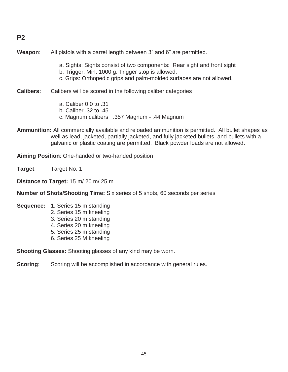## **P2**

**Weapon**: All pistols with a barrel length between 3" and 6" are permitted.

- a. Sights: Sights consist of two components: Rear sight and front sight
- b. Trigger: Min. 1000 g. Trigger stop is allowed.
- c. Grips: Orthopedic grips and palm-molded surfaces are not allowed.
- **Calibers:** Calibers will be scored in the following caliber categories
	- a. Caliber 0.0 to .31
	- b. Caliber .32 to .45
	- c. Magnum calibers .357 Magnum .44 Magnum
- **Ammunition:** All commercially available and reloaded ammunition is permitted. All bullet shapes as well as lead, jacketed, partially jacketed, and fully jacketed bullets, and bullets with a galvanic or plastic coating are permitted. Black powder loads are not allowed.

**Aiming Position**: One-handed or two-handed position

**Target**: Target No. 1

**Distance to Target:** 15 m/ 20 m/ 25 m

**Number of Shots/Shooting Time:** Six series of 5 shots, 60 seconds per series

- **Sequence:** 1. Series 15 m standing 2. Series 15 m kneeling 3. Series 20 m standing 4. Series 20 m kneeling
	- 5. Series 25 m standing
	- 6. Series 25 M kneeling

**Shooting Glasses:** Shooting glasses of any kind may be worn.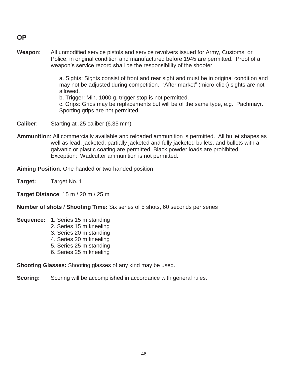**OP** 

**Weapon**: All unmodified service pistols and service revolvers issued for Army, Customs, or Police, in original condition and manufactured before 1945 are permitted. Proof of a weapon's service record shall be the responsibility of the shooter.

> a. Sights: Sights consist of front and rear sight and must be in original condition and may not be adjusted during competition. "After market" (micro-click) sights are not allowed.

b. Trigger: Min. 1000 g, trigger stop is not permitted.

 c. Grips: Grips may be replacements but will be of the same type, e.g., Pachmayr. Sporting grips are not permitted.

- **Caliber**: Starting at .25 caliber (6.35 mm)
- **Ammunition**: All commercially available and reloaded ammunition is permitted. All bullet shapes as well as lead, jacketed, partially jacketed and fully jacketed bullets, and bullets with a galvanic or plastic coating are permitted. Black powder loads are prohibited. Exception: Wadcutter ammunition is not permitted.

**Aiming Position**: One-handed or two-handed position

**Target:** Target No. 1

**Target Distance**: 15 m / 20 m / 25 m

**Number of shots / Shooting Time:** Six series of 5 shots, 60 seconds per series

**Sequence:** 1. Series 15 m standing

- 2. Series 15 m kneeling
- 3. Series 20 m standing
- 4. Series 20 m kneeling
- 5. Series 25 m standing
- 6. Series 25 m kneeling

**Shooting Glasses:** Shooting glasses of any kind may be used.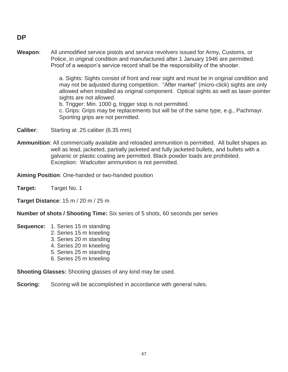#### **DP**

**Weapon**: All unmodified service pistols and service revolvers issued for Army, Customs, or Police, in original condition and manufactured after 1 January 1946 are permitted. Proof of a weapon's service record shall be the responsibility of the shooter.

> a. Sights: Sights consist of front and rear sight and must be in original condition and may not be adjusted during competition. "After market" (micro-click) sights are only allowed when installed as original component. Optical sights as well as laser-pointer sights are not allowed.

b. Trigger: Min. 1000 g, trigger stop is not permitted.

 c. Grips: Grips may be replacements but will be of the same type, e.g., Pachmayr. Sporting grips are not permitted.

- **Caliber**: Starting at .25 caliber (6.35 mm)
- **Ammunition**: All commercially available and reloaded ammunition is permitted. All bullet shapes as well as lead, jacketed, partially jacketed and fully jacketed bullets, and bullets with a galvanic or plastic coating are permitted. Black powder loads are prohibited. Exception: Wadcutter ammunition is not permitted.

**Aiming Position**: One-handed or two-handed position

**Target:** Target No. 1

**Target Distance**: 15 m / 20 m / 25 m

**Number of shots / Shooting Time:** Six series of 5 shots, 60 seconds per series

**Sequence:** 1. Series 15 m standing

- 2. Series 15 m kneeling
- 3. Series 20 m standing
- 4. Series 20 m kneeling
- 5. Series 25 m standing
- 6. Series 25 m kneeling

**Shooting Glasses:** Shooting glasses of any kind may be used.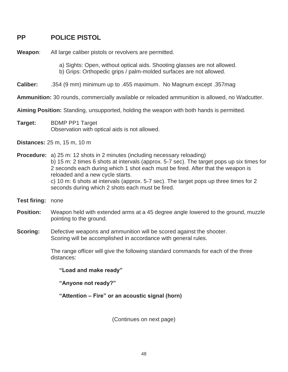## **PP POLICE PISTOL**

**Weapon**: All large caliber pistols or revolvers are permitted.

 a) Sights: Open, without optical aids. Shooting glasses are not allowed. b) Grips: Orthopedic grips / palm-molded surfaces are not allowed.

**Caliber:** .354 (9 mm) minimum up to .455 maximum. No Magnum except .357mag

**Ammunition:** 30 rounds, commercially available or reloaded ammunition is allowed, no Wadcutter.

**Aiming Position:** Standing, unsupported, holding the weapon with both hands is permitted.

**Target:** BDMP PP1 Target Observation with optical aids is not allowed.

**Distances:** 25 m, 15 m, 10 m

**Procedure:** a) 25 m: 12 shots in 2 minutes (including necessary reloading) b) 15 m: 2 times 6 shots at intervals (approx. 5-7 sec). The target pops up six times for 2 seconds each during which 1 shot each must be fired. After that the weapon is reloaded and a new cycle starts. c) 10 m: 6 shots at intervals (approx. 5-7 sec). The target pops up three times for 2 seconds during which 2 shots each must be fired.

- **Test firing:** none
- **Position:** Weapon held with extended arms at a 45 degree angle lowered to the ground, muzzle pointing to the ground.
- **Scoring:** Defective weapons and ammunition will be scored against the shooter. Scoring will be accomplished in accordance with general rules.

 The range officer will give the following standard commands for each of the three distances:

**"Load and make ready"** 

**"Anyone not ready?"** 

**"Attention – Fire" or an acoustic signal (horn)**

(Continues on next page)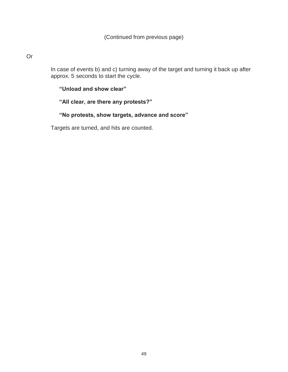#### Or

 In case of events b) and c) turning away of the target and turning it back up after approx. 5 seconds to start the cycle.

#### **"Unload and show clear"**

### **"All clear, are there any protests?"**

## **"No protests, show targets, advance and score"**

Targets are turned, and hits are counted.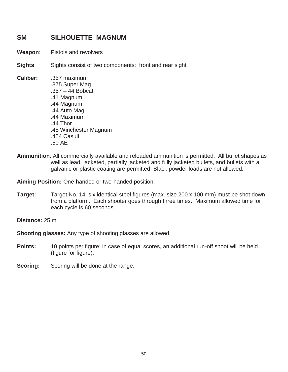## **SM SILHOUETTE MAGNUM**

- **Weapon**: Pistols and revolvers
- **Sights**: Sights consist of two components: front and rear sight
- **Caliber:** .357 maximum .375 Super Mag .357 – 44 Bobcat .41 Magnum .44 Magnum .44 Auto Mag .44 Maximum .44 Thor .45 Winchester Magnum .454 Casull .50 AE
- **Ammunition**: All commercially available and reloaded ammunition is permitted. All bullet shapes as well as lead, jacketed, partially jacketed and fully jacketed bullets, and bullets with a galvanic or plastic coating are permitted. Black powder loads are not allowed.

**Aiming Position:** One-handed or two-handed position.

**Target:** Target No. 14, six identical steel figures (max. size 200 x 100 mm) must be shot down from a platform. Each shooter goes through three times. Maximum allowed time for each cycle is 60 seconds

**Distance:** 25 m

**Shooting glasses:** Any type of shooting glasses are allowed.

- **Points:** 10 points per figure; in case of equal scores, an additional run-off shoot will be held (figure for figure).
- **Scoring:** Scoring will be done at the range.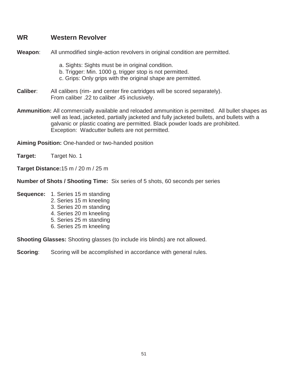## **WR Western Revolver**

**Weapon**: All unmodified single-action revolvers in original condition are permitted.

- a. Sights: Sights must be in original condition.
- b. Trigger: Min. 1000 g, trigger stop is not permitted.
- c. Grips: Only grips with the original shape are permitted.
- **Caliber**: All calibers (rim- and center fire cartridges will be scored separately). From caliber .22 to caliber .45 inclusively.
- **Ammunition:** All commercially available and reloaded ammunition is permitted. All bullet shapes as well as lead, jacketed, partially jacketed and fully jacketed bullets, and bullets with a galvanic or plastic coating are permitted. Black powder loads are prohibited. Exception: Wadcutter bullets are not permitted.

**Aiming Position:** One-handed or two-handed position

**Target:** Target No. 1

**Target Distance:**15 m / 20 m / 25 m

**Number of Shots / Shooting Time:** Six series of 5 shots, 60 seconds per series

- **Sequence:** 1. Series 15 m standing
	- 2. Series 15 m kneeling
	- 3. Series 20 m standing
	- 4. Series 20 m kneeling
	- 5. Series 25 m standing
	- 6. Series 25 m kneeling

**Shooting Glasses:** Shooting glasses (to include iris blinds) are not allowed.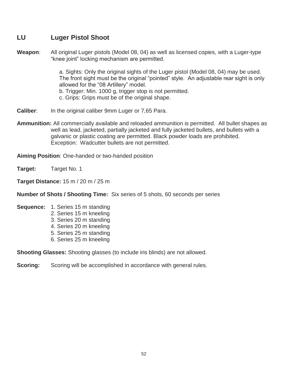## **LU Luger Pistol Shoot**

**Weapon**: All original Luger pistols (Model 08, 04) as well as licensed copies, with a Luger-type "knee joint" locking mechanism are permitted.

> a. Sights: Only the original sights of the Luger pistol (Model 08, 04) may be used. The front sight must be the original "pointed" style. An adjustable rear sight is only allowed for the "08 Artillery" model.

b. Trigger: Min. 1000 g, trigger stop is not permitted.

c. Grips: Grips must be of the original shape.

- **Caliber:** In the original caliber 9mm Luger or 7,65 Para.
- **Ammunition:** All commercially available and reloaded ammunition is permitted. All bullet shapes as well as lead, jacketed, partially jacketed and fully jacketed bullets, and bullets with a galvanic or plastic coating are permitted. Black powder loads are prohibited. Exception: Wadcutter bullets are not permitted.

**Aiming Position**: One-handed or two-handed position

**Target:** Target No. 1

**Target Distance:** 15 m / 20 m / 25 m

**Number of Shots / Shooting Time:** Six series of 5 shots, 60 seconds per series

- **Sequence:** 1. Series 15 m standing 2. Series 15 m kneeling
	- 3. Series 20 m standing
	- 4. Series 20 m kneeling
	- 5. Series 25 m standing
	- 6. Series 25 m kneeling

**Shooting Glasses:** Shooting glasses (to include iris blinds) are not allowed.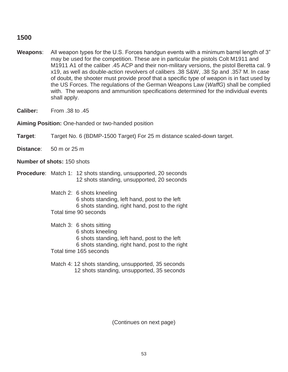## **1500**

- **Weapons**: All weapon types for the U.S. Forces handgun events with a minimum barrel length of 3" may be used for the competition. These are in particular the pistols Colt M1911 and M1911 A1 of the caliber .45 ACP and their non-military versions, the pistol Beretta cal. 9 x19, as well as double-action revolvers of calibers .38 S&W, .38 Sp and .357 M. In case of doubt, the shooter must provide proof that a specific type of weapon is in fact used by the US Forces. The regulations of the German Weapons Law (*WaffG*) shall be complied with. The weapons and ammunition specifications determined for the individual events shall apply.
- **Caliber:** From .38 to .45

**Aiming Position:** One-handed or two-handed position

**Target**: Target No. 6 (BDMP-1500 Target) For 25 m distance scaled-down target.

**Distance**: 50 m or 25 m

**Number of shots:** 150 shots

**Procedure**: Match 1: 12 shots standing, unsupported, 20 seconds 12 shots standing, unsupported, 20 seconds

> Match 2: 6 shots kneeling 6 shots standing, left hand, post to the left 6 shots standing, right hand, post to the right Total time 90 seconds

 Match 3: 6 shots sitting 6 shots kneeling 6 shots standing, left hand, post to the left 6 shots standing, right hand, post to the right Total time 165 seconds

 Match 4: 12 shots standing, unsupported, 35 seconds 12 shots standing, unsupported, 35 seconds

(Continues on next page)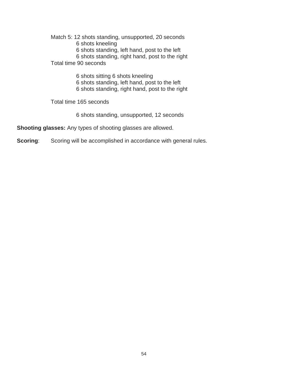Match 5: 12 shots standing, unsupported, 20 seconds 6 shots kneeling 6 shots standing, left hand, post to the left 6 shots standing, right hand, post to the right Total time 90 seconds

> 6 shots sitting 6 shots kneeling 6 shots standing, left hand, post to the left 6 shots standing, right hand, post to the right

Total time 165 seconds

6 shots standing, unsupported, 12 seconds

**Shooting glasses:** Any types of shooting glasses are allowed.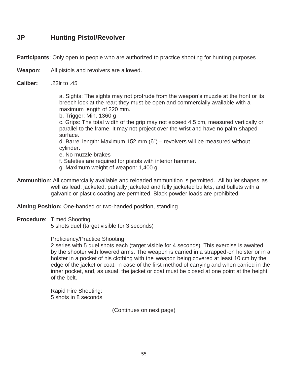## **JP Hunting Pistol/Revolver**

**Participants**: Only open to people who are authorized to practice shooting for hunting purposes

**Weapon**: All pistols and revolvers are allowed.

**Caliber:** .22lr to .45

 a. Sights: The sights may not protrude from the weapon's muzzle at the front or its breech lock at the rear; they must be open and commercially available with a maximum length of 220 mm.

b. Trigger: Min. 1360 g

 c. Grips: The total width of the grip may not exceed 4.5 cm, measured vertically or parallel to the frame. It may not project over the wrist and have no palm-shaped surface.

 d. Barrel length: Maximum 152 mm (6") – revolvers will be measured without cylinder.

e. No muzzle brakes

f. Safeties are required for pistols with interior hammer.

- g. Maximum weight of weapon: 1,400 g
- **Ammunition**: All commercially available and reloaded ammunition is permitted. All bullet shapes as well as lead, jacketed, partially jacketed and fully jacketed bullets, and bullets with a galvanic or plastic coating are permitted. Black powder loads are prohibited.

**Aiming Position:** One-handed or two-handed position, standing

**Procedure**: Timed Shooting:

5 shots duel (target visible for 3 seconds)

Proficiency/Practice Shooting:

 2 series with 5 duel shots each (target visible for 4 seconds). This exercise is awaited by the shooter with lowered arms. The weapon is carried in a strapped-on holster or in a holster in a pocket of his clothing with the weapon being covered at least 10 cm by the edge of the jacket or coat, in case of the first method of carrying and when carried in the inner pocket, and, as usual, the jacket or coat must be closed at one point at the height of the belt.

 Rapid Fire Shooting: 5 shots in 8 seconds

(Continues on next page)